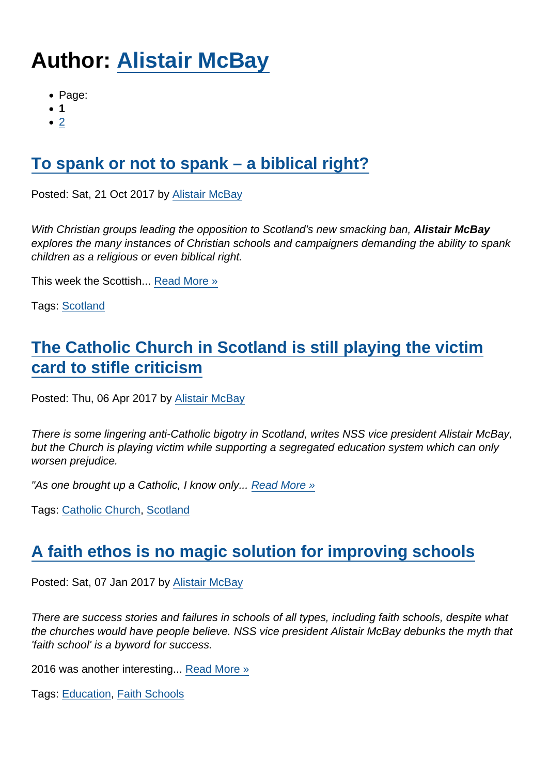# Author: [Alistair McBay](https://www.secularism.org.uk/opinion/authors/853)

- Page:
- 1
- $\bullet$  [2](/mnt/web-data/www/cp-nss/opinion/authors/853)

# [To spank or not to spank – a biblical right?](https://www.secularism.org.uk/opinion/2017/10/to-spank-or-not-to-spank-a-biblical-right)

Posted: Sat, 21 Oct 2017 by [Alistair McBay](https://www.secularism.org.uk/opinion/authors/853)

With Christian groups leading the opposition to Scotland's new smacking ban, Alistair McBay explores the many instances of Christian schools and campaigners demanding the ability to spank children as a religious or even biblical right.

This week the Scottish... [Read More »](https://www.secularism.org.uk/opinion/2017/10/to-spank-or-not-to-spank-a-biblical-right)

Tags: [Scotland](https://www.secularism.org.uk/opinion/tags/Scotland)

# [The Catholic Church in Scotland is still playing the victim](https://www.secularism.org.uk/opinion/2017/04/the-catholic-church-in-scotland-is-still-playing-the-victim-card-to-stifle-criticism) [card to stifle criticism](https://www.secularism.org.uk/opinion/2017/04/the-catholic-church-in-scotland-is-still-playing-the-victim-card-to-stifle-criticism)

Posted: Thu, 06 Apr 2017 by [Alistair McBay](https://www.secularism.org.uk/opinion/authors/853)

There is some lingering anti-Catholic bigotry in Scotland, writes NSS vice president Alistair McBay, but the Church is playing victim while supporting a segregated education system which can only worsen prejudice.

"As one brought up a Catholic, I know only... [Read More »](https://www.secularism.org.uk/opinion/2017/04/the-catholic-church-in-scotland-is-still-playing-the-victim-card-to-stifle-criticism)

Tags: [Catholic Church,](https://www.secularism.org.uk/opinion/tags/Catholic+Church) [Scotland](https://www.secularism.org.uk/opinion/tags/Scotland)

## [A faith ethos is no magic solution for improving schools](https://www.secularism.org.uk/opinion/2017/01/a-faith-ethos-is-no-magic-solution-for-improving-schools)

Posted: Sat, 07 Jan 2017 by [Alistair McBay](https://www.secularism.org.uk/opinion/authors/853)

There are success stories and failures in schools of all types, including faith schools, despite what the churches would have people believe. NSS vice president Alistair McBay debunks the myth that 'faith school' is a byword for success.

2016 was another interesting... [Read More »](https://www.secularism.org.uk/opinion/2017/01/a-faith-ethos-is-no-magic-solution-for-improving-schools)

Tags: [Education,](https://www.secularism.org.uk/opinion/tags/Education) [Faith Schools](https://www.secularism.org.uk/opinion/tags/Faith+Schools)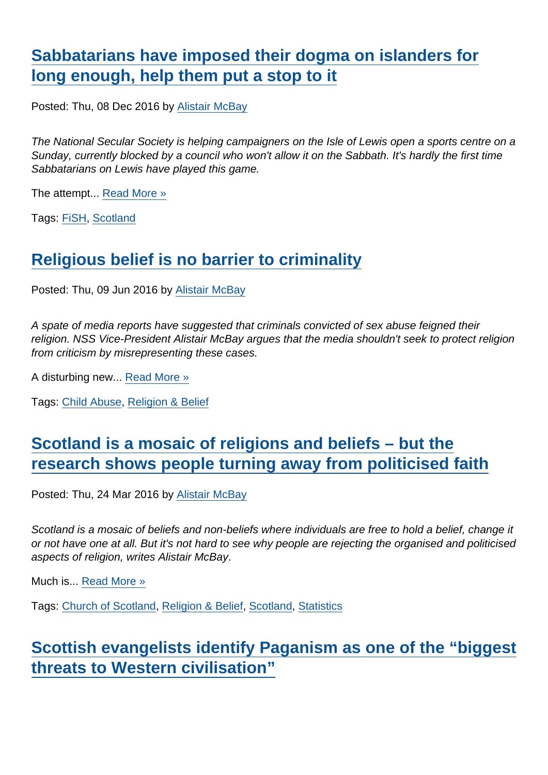## [Sabbatarians have imposed their dogma on islanders for](https://www.secularism.org.uk/opinion/2016/12/help-us-challenge-sabbatarian-bullies-protecting-their-territory-on-sundays) [long enough, help them put a stop to it](https://www.secularism.org.uk/opinion/2016/12/help-us-challenge-sabbatarian-bullies-protecting-their-territory-on-sundays)

Posted: Thu, 08 Dec 2016 by [Alistair McBay](https://www.secularism.org.uk/opinion/authors/853)

The National Secular Society is helping campaigners on the Isle of Lewis open a sports centre on a Sunday, currently blocked by a council who won't allow it on the Sabbath. It's hardly the first time Sabbatarians on Lewis have played this game.

The attempt... [Read More »](https://www.secularism.org.uk/opinion/2016/12/help-us-challenge-sabbatarian-bullies-protecting-their-territory-on-sundays)

Tags: [FiSH](https://www.secularism.org.uk/opinion/tags/FiSH), [Scotland](https://www.secularism.org.uk/opinion/tags/Scotland)

#### [Religious belief is no barrier to criminality](https://www.secularism.org.uk/opinion/2016/06/religious-belief-is-no-barrier-to-criminality)

Posted: Thu, 09 Jun 2016 by [Alistair McBay](https://www.secularism.org.uk/opinion/authors/853)

A spate of media reports have suggested that criminals convicted of sex abuse feigned their religion. NSS Vice-President Alistair McBay argues that the media shouldn't seek to protect religion from criticism by misrepresenting these cases.

A disturbing new... [Read More »](https://www.secularism.org.uk/opinion/2016/06/religious-belief-is-no-barrier-to-criminality)

Tags: [Child Abuse](https://www.secularism.org.uk/opinion/tags/Child+Abuse), [Religion & Belief](https://www.secularism.org.uk/opinion/tags/Religion+&+Belief)

## [Scotland is a mosaic of religions and beliefs – but the](https://www.secularism.org.uk/opinion/2016/03/scotland-is-a-mosaic-of-religions-and-beliefs-but-the-research-shows-people-turning-away-from-politicised-faith) [research shows people turning away from politicised faith](https://www.secularism.org.uk/opinion/2016/03/scotland-is-a-mosaic-of-religions-and-beliefs-but-the-research-shows-people-turning-away-from-politicised-faith)

Posted: Thu, 24 Mar 2016 by [Alistair McBay](https://www.secularism.org.uk/opinion/authors/853)

Scotland is a mosaic of beliefs and non-beliefs where individuals are free to hold a belief, change it or not have one at all. But it's not hard to see why people are rejecting the organised and politicised aspects of religion, writes Alistair McBay.

Much is... [Read More »](https://www.secularism.org.uk/opinion/2016/03/scotland-is-a-mosaic-of-religions-and-beliefs-but-the-research-shows-people-turning-away-from-politicised-faith)

Tags: [Church of Scotland](https://www.secularism.org.uk/opinion/tags/Church+of+Scotland), [Religion & Belief](https://www.secularism.org.uk/opinion/tags/Religion+&+Belief), [Scotland](https://www.secularism.org.uk/opinion/tags/Scotland), [Statistics](https://www.secularism.org.uk/opinion/tags/Statistics)

#### [Scottish evangelists identify Paganism as one of the "biggest](https://www.secularism.org.uk/opinion/2015/11/scottish-evangelists-identify-paganism-as-one-of-the-biggest-threats-to-western-civilisation) [threats to Western civilisation"](https://www.secularism.org.uk/opinion/2015/11/scottish-evangelists-identify-paganism-as-one-of-the-biggest-threats-to-western-civilisation)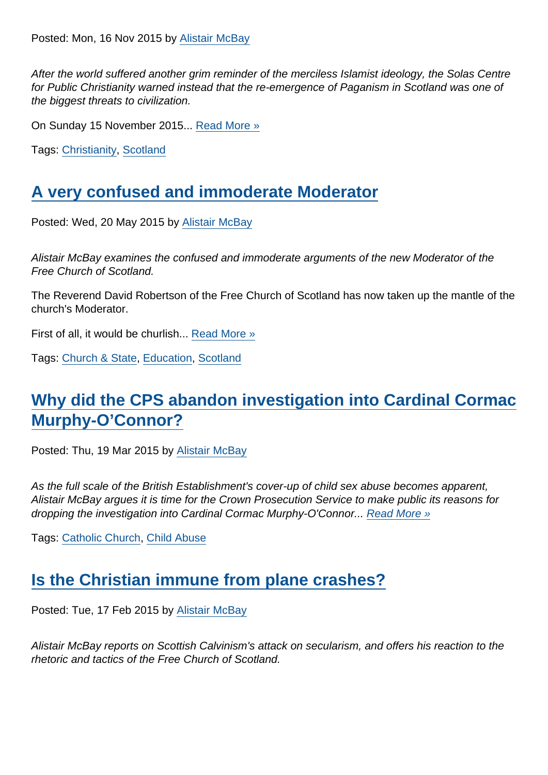After the world suffered another grim reminder of the merciless Islamist ideology, the Solas Centre for Public Christianity warned instead that the re-emergence of Paganism in Scotland was one of the biggest threats to civilization.

On Sunday 15 November 2015... [Read More »](https://www.secularism.org.uk/opinion/2015/11/scottish-evangelists-identify-paganism-as-one-of-the-biggest-threats-to-western-civilisation)

Tags: [Christianity,](https://www.secularism.org.uk/opinion/tags/Christianity) [Scotland](https://www.secularism.org.uk/opinion/tags/Scotland)

#### [A very confused and immoderate Moderator](https://www.secularism.org.uk/opinion/2015/05/a-very-confused-and-immoderate-moderator)

Posted: Wed, 20 May 2015 by [Alistair McBay](https://www.secularism.org.uk/opinion/authors/853)

Alistair McBay examines the confused and immoderate arguments of the new Moderator of the Free Church of Scotland.

The Reverend David Robertson of the Free Church of Scotland has now taken up the mantle of the church's Moderator.

First of all, it would be churlish... [Read More »](https://www.secularism.org.uk/opinion/2015/05/a-very-confused-and-immoderate-moderator)

Tags: [Church & State,](https://www.secularism.org.uk/opinion/tags/Church+&+State) [Education,](https://www.secularism.org.uk/opinion/tags/Education) [Scotland](https://www.secularism.org.uk/opinion/tags/Scotland)

## [Why did the CPS abandon investigation into Cardinal Cormac](https://www.secularism.org.uk/opinion/2015/03/why-did-the-cps-abandon-investigation-into-cardinal-cormac-murphy-oconnor) [Murphy-O'Connor?](https://www.secularism.org.uk/opinion/2015/03/why-did-the-cps-abandon-investigation-into-cardinal-cormac-murphy-oconnor)

Posted: Thu, 19 Mar 2015 by [Alistair McBay](https://www.secularism.org.uk/opinion/authors/853)

As the full scale of the British Establishment's cover-up of child sex abuse becomes apparent, Alistair McBay argues it is time for the Crown Prosecution Service to make public its reasons for dropping the investigation into Cardinal Cormac Murphy-O'Connor... [Read More »](https://www.secularism.org.uk/opinion/2015/03/why-did-the-cps-abandon-investigation-into-cardinal-cormac-murphy-oconnor)

Tags: [Catholic Church,](https://www.secularism.org.uk/opinion/tags/Catholic+Church) [Child Abuse](https://www.secularism.org.uk/opinion/tags/Child+Abuse)

#### [Is the Christian immune from plane crashes?](https://www.secularism.org.uk/opinion/2015/02/is-the-christian-immune-from-plane-crashes)

Posted: Tue, 17 Feb 2015 by [Alistair McBay](https://www.secularism.org.uk/opinion/authors/853)

Alistair McBay reports on Scottish Calvinism's attack on secularism, and offers his reaction to the rhetoric and tactics of the Free Church of Scotland.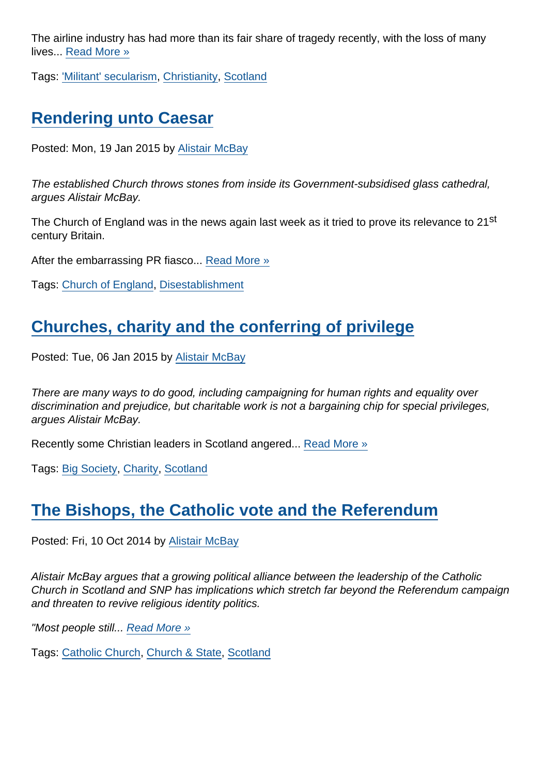The airline industry has had more than its fair share of tragedy recently, with the loss of many lives... [Read More »](https://www.secularism.org.uk/opinion/2015/02/is-the-christian-immune-from-plane-crashes)

Tags: ['Militant' secularism,](https://www.secularism.org.uk/opinion/tags/) [Christianity,](https://www.secularism.org.uk/opinion/tags/Christianity) [Scotland](https://www.secularism.org.uk/opinion/tags/Scotland)

## [Rendering unto Caesar](https://www.secularism.org.uk/opinion/2015/01/rendering-unto-caesar)

Posted: Mon, 19 Jan 2015 by [Alistair McBay](https://www.secularism.org.uk/opinion/authors/853)

The established Church throws stones from inside its Government-subsidised glass cathedral, argues Alistair McBay.

The Church of England was in the news again last week as it tried to prove its relevance to 21<sup>st</sup> century Britain.

After the embarrassing PR fiasco... [Read More »](https://www.secularism.org.uk/opinion/2015/01/rendering-unto-caesar)

Tags: [Church of England,](https://www.secularism.org.uk/opinion/tags/Church+of+England) [Disestablishment](https://www.secularism.org.uk/opinion/tags/Disestablishment)

## [Churches, charity and the conferring of privilege](https://www.secularism.org.uk/opinion/2015/01/churches-charity-and-the-conferring-of-privilege)

Posted: Tue, 06 Jan 2015 by [Alistair McBay](https://www.secularism.org.uk/opinion/authors/853)

There are many ways to do good, including campaigning for human rights and equality over discrimination and prejudice, but charitable work is not a bargaining chip for special privileges, argues Alistair McBay.

Recently some Christian leaders in Scotland angered... [Read More »](https://www.secularism.org.uk/opinion/2015/01/churches-charity-and-the-conferring-of-privilege)

Tags: [Big Society](https://www.secularism.org.uk/opinion/tags/Big+Society), [Charity](https://www.secularism.org.uk/opinion/tags/Charity), [Scotland](https://www.secularism.org.uk/opinion/tags/Scotland)

## [The Bishops, the Catholic vote and the Referendum](https://www.secularism.org.uk/opinion/2014/10/the-bishops-the-catholic-vote-and-the-referendum)

Posted: Fri, 10 Oct 2014 by [Alistair McBay](https://www.secularism.org.uk/opinion/authors/853)

Alistair McBay argues that a growing political alliance between the leadership of the Catholic Church in Scotland and SNP has implications which stretch far beyond the Referendum campaign and threaten to revive religious identity politics.

"Most people still... [Read More »](https://www.secularism.org.uk/opinion/2014/10/the-bishops-the-catholic-vote-and-the-referendum)

Tags: [Catholic Church,](https://www.secularism.org.uk/opinion/tags/Catholic+Church) [Church & State,](https://www.secularism.org.uk/opinion/tags/Church+&+State) [Scotland](https://www.secularism.org.uk/opinion/tags/Scotland)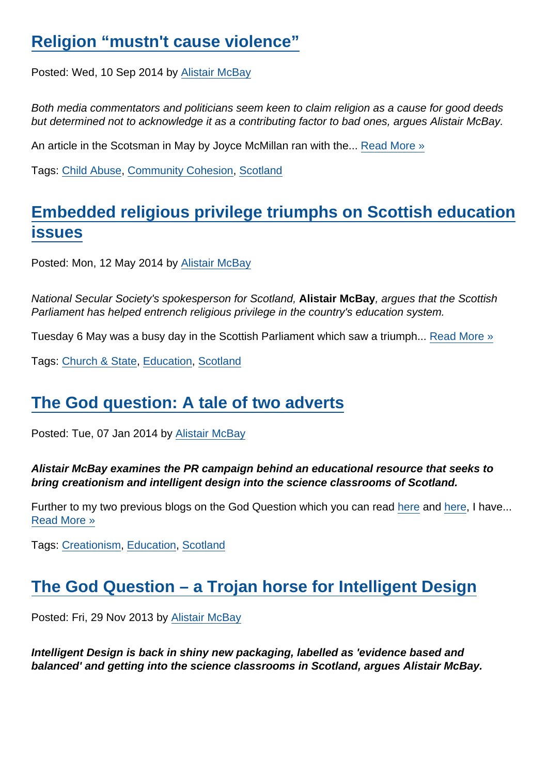#### [Religion "mustn't cause violence"](https://www.secularism.org.uk/opinion/2014/09/religion-mustnt-cause-violence)

Posted: Wed, 10 Sep 2014 by [Alistair McBay](https://www.secularism.org.uk/opinion/authors/853)

Both media commentators and politicians seem keen to claim religion as a cause for good deeds but determined not to acknowledge it as a contributing factor to bad ones, argues Alistair McBay.

An article in the Scotsman in May by Joyce McMillan ran with the... [Read More »](https://www.secularism.org.uk/opinion/2014/09/religion-mustnt-cause-violence)

Tags: [Child Abuse](https://www.secularism.org.uk/opinion/tags/Child+Abuse), [Community Cohesion](https://www.secularism.org.uk/opinion/tags/Community+Cohesion), [Scotland](https://www.secularism.org.uk/opinion/tags/Scotland)

## [Embedded religious privilege triumphs on Scottish education](https://www.secularism.org.uk/opinion/2014/05/embedded-religious-privilege-triumphs-on-scottish-education-issues) **[issues](https://www.secularism.org.uk/opinion/2014/05/embedded-religious-privilege-triumphs-on-scottish-education-issues)**

Posted: Mon, 12 May 2014 by [Alistair McBay](https://www.secularism.org.uk/opinion/authors/853)

National Secular Society's spokesperson for Scotland, Alistair McBay , argues that the Scottish Parliament has helped entrench religious privilege in the country's education system.

Tuesday 6 May was a busy day in the Scottish Parliament which saw a triumph... [Read More »](https://www.secularism.org.uk/opinion/2014/05/embedded-religious-privilege-triumphs-on-scottish-education-issues)

Tags: [Church & State,](https://www.secularism.org.uk/opinion/tags/Church+&+State) [Education,](https://www.secularism.org.uk/opinion/tags/Education) [Scotland](https://www.secularism.org.uk/opinion/tags/Scotland)

#### [The God question: A tale of two adverts](https://www.secularism.org.uk/opinion/2014/01/the-god-question-a-tale-of-two-adverts)

Posted: Tue, 07 Jan 2014 by [Alistair McBay](https://www.secularism.org.uk/opinion/authors/853)

Alistair McBay examines the PR campaign behind an educational resource that seeks to bring creationism and intelligent design into the science classrooms of Scotland.

Further to my two previous blogs on the God Question which you can read [here](https://www.secularism.org.uk/blog/2013/11/a-search-for-truth-or-a-trojan-horse-for-religion-in-schools) and [here,](https://www.secularism.org.uk/blog/2013/11/the-god-question--a-trojan-horse-for-intelligent-design) I have... [Read More »](https://www.secularism.org.uk/opinion/2014/01/the-god-question-a-tale-of-two-adverts)

Tags: [Creationism](https://www.secularism.org.uk/opinion/tags/Creationism), [Education](https://www.secularism.org.uk/opinion/tags/Education), [Scotland](https://www.secularism.org.uk/opinion/tags/Scotland)

#### [The God Question – a Trojan horse for Intelligent Design](https://www.secularism.org.uk/opinion/2013/11/the-god-question-a-trojan-horse-for-intelligent-design)

Posted: Fri, 29 Nov 2013 by [Alistair McBay](https://www.secularism.org.uk/opinion/authors/853)

Intelligent Design is back in shiny new packaging, labelled as 'evidence based and balanced' and getting into the science classrooms in Scotland, argues Alistair McBay.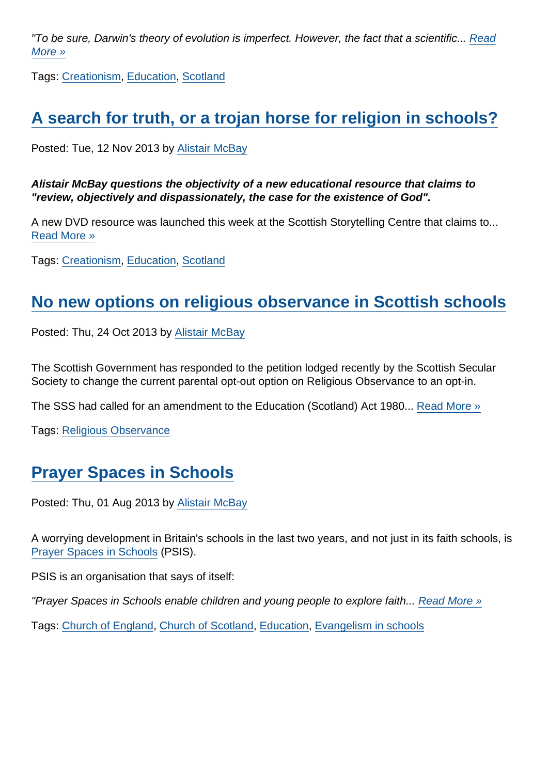"To be sure, Darwin's theory of evolution is imperfect. However, the fact that a scientific... [Read](https://www.secularism.org.uk/opinion/2013/11/the-god-question-a-trojan-horse-for-intelligent-design) [More »](https://www.secularism.org.uk/opinion/2013/11/the-god-question-a-trojan-horse-for-intelligent-design)

Tags: [Creationism](https://www.secularism.org.uk/opinion/tags/Creationism), [Education](https://www.secularism.org.uk/opinion/tags/Education), [Scotland](https://www.secularism.org.uk/opinion/tags/Scotland)

## [A search for truth, or a trojan horse for religion in schools?](https://www.secularism.org.uk/opinion/2013/11/a-search-for-truth-or-a-trojan-horse-for-religion-in-schools)

Posted: Tue, 12 Nov 2013 by [Alistair McBay](https://www.secularism.org.uk/opinion/authors/853)

Alistair McBay questions the objectivity of a new educational resource that claims to "review, objectively and dispassionately, the case for the existence of God".

A new DVD resource was launched this week at the Scottish Storytelling Centre that claims to... [Read More »](https://www.secularism.org.uk/opinion/2013/11/a-search-for-truth-or-a-trojan-horse-for-religion-in-schools)

Tags: [Creationism](https://www.secularism.org.uk/opinion/tags/Creationism), [Education](https://www.secularism.org.uk/opinion/tags/Education), [Scotland](https://www.secularism.org.uk/opinion/tags/Scotland)

#### [No new options on religious observance in Scottish schools](https://www.secularism.org.uk/opinion/2013/10/no-new-options-on-religious-observance-in-scottish-schools)

Posted: Thu, 24 Oct 2013 by [Alistair McBay](https://www.secularism.org.uk/opinion/authors/853)

The Scottish Government has responded to the petition lodged recently by the Scottish Secular Society to change the current parental opt-out option on Religious Observance to an opt-in.

The SSS had called for an amendment to the Education (Scotland) Act 1980... [Read More »](https://www.secularism.org.uk/opinion/2013/10/no-new-options-on-religious-observance-in-scottish-schools)

Tags: [Religious Observance](https://www.secularism.org.uk/opinion/tags/Religious+Observance)

# [Prayer Spaces in Schools](https://www.secularism.org.uk/opinion/2013/08/prayer-spaces-in-schools)

Posted: Thu, 01 Aug 2013 by [Alistair McBay](https://www.secularism.org.uk/opinion/authors/853)

A worrying development in Britain's schools in the last two years, and not just in its faith schools, is [Prayer Spaces in Schools](http://www.prayerspacesinschools.com/home) (PSIS).

PSIS is an organisation that says of itself:

"Prayer Spaces in Schools enable children and young people to explore faith... [Read More »](https://www.secularism.org.uk/opinion/2013/08/prayer-spaces-in-schools)

Tags: [Church of England,](https://www.secularism.org.uk/opinion/tags/Church+of+England) [Church of Scotland](https://www.secularism.org.uk/opinion/tags/Church+of+Scotland), [Education,](https://www.secularism.org.uk/opinion/tags/Education) [Evangelism in schools](https://www.secularism.org.uk/opinion/tags/Evangelism+in+schools)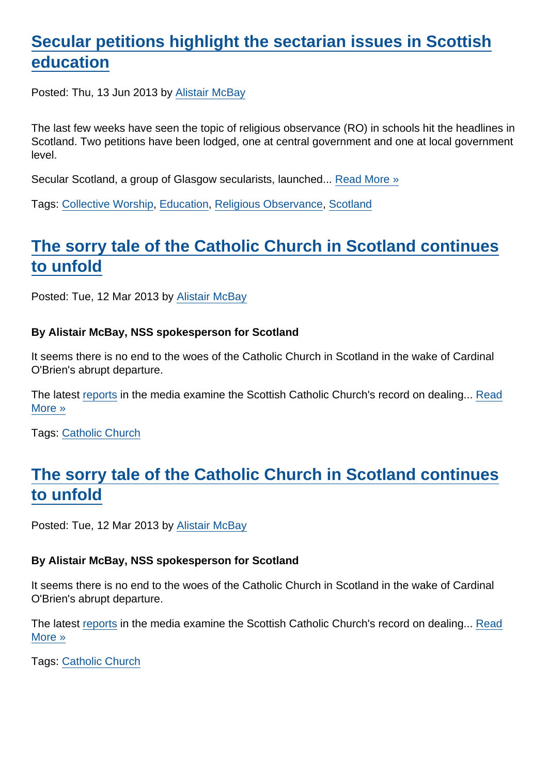## [Secular petitions highlight the sectarian issues in Scottish](https://www.secularism.org.uk/opinion/2013/06/secular-petitions-highlight-the-sectarian-issues-in-scottish-education) [education](https://www.secularism.org.uk/opinion/2013/06/secular-petitions-highlight-the-sectarian-issues-in-scottish-education)

Posted: Thu, 13 Jun 2013 by [Alistair McBay](https://www.secularism.org.uk/opinion/authors/853)

The last few weeks have seen the topic of religious observance (RO) in schools hit the headlines in Scotland. Two petitions have been lodged, one at central government and one at local government level.

Secular Scotland, a group of Glasgow secularists, launched... [Read More »](https://www.secularism.org.uk/opinion/2013/06/secular-petitions-highlight-the-sectarian-issues-in-scottish-education)

Tags: [Collective Worship,](https://www.secularism.org.uk/opinion/tags/Collective+Worship) [Education,](https://www.secularism.org.uk/opinion/tags/Education) [Religious Observance,](https://www.secularism.org.uk/opinion/tags/Religious+Observance) [Scotland](https://www.secularism.org.uk/opinion/tags/Scotland)

## [The sorry tale of the Catholic Church in Scotland continues](https://www.secularism.org.uk/opinion/2013/03/the-sorry-tale-of-the-catholic-church-in-scotland-continues-to-unfold) [to unfold](https://www.secularism.org.uk/opinion/2013/03/the-sorry-tale-of-the-catholic-church-in-scotland-continues-to-unfold)

Posted: Tue, 12 Mar 2013 by [Alistair McBay](https://www.secularism.org.uk/opinion/authors/853)

By Alistair McBay, NSS spokesperson for Scotland

It seems there is no end to the woes of the Catholic Church in Scotland in the wake of Cardinal O'Brien's abrupt departure.

The latest [reports](http://www.scotsman.com/news/uk/church-is-urged-to-release-secret-sex-abuse-files-1-2829355?) in the media examine the Scottish Catholic Church's record on dealing... [Read](https://www.secularism.org.uk/opinion/2013/03/the-sorry-tale-of-the-catholic-church-in-scotland-continues-to-unfold) [More »](https://www.secularism.org.uk/opinion/2013/03/the-sorry-tale-of-the-catholic-church-in-scotland-continues-to-unfold)

Tags: [Catholic Church](https://www.secularism.org.uk/opinion/tags/Catholic+Church)

#### [The sorry tale of the Catholic Church in Scotland continues](https://www.secularism.org.uk/opinion/2013/03/the-sorry-tale-of-the-catholic-church-in-scotland-continues-to-unfold1) [to unfold](https://www.secularism.org.uk/opinion/2013/03/the-sorry-tale-of-the-catholic-church-in-scotland-continues-to-unfold1)

Posted: Tue, 12 Mar 2013 by [Alistair McBay](https://www.secularism.org.uk/opinion/authors/853)

By Alistair McBay, NSS spokesperson for Scotland

It seems there is no end to the woes of the Catholic Church in Scotland in the wake of Cardinal O'Brien's abrupt departure.

The latest [reports](http://www.scotsman.com/news/uk/church-is-urged-to-release-secret-sex-abuse-files-1-2829355?) in the media examine the Scottish Catholic Church's record on dealing... [Read](https://www.secularism.org.uk/opinion/2013/03/the-sorry-tale-of-the-catholic-church-in-scotland-continues-to-unfold1) [More »](https://www.secularism.org.uk/opinion/2013/03/the-sorry-tale-of-the-catholic-church-in-scotland-continues-to-unfold1)

Tags: [Catholic Church](https://www.secularism.org.uk/opinion/tags/Catholic+Church)